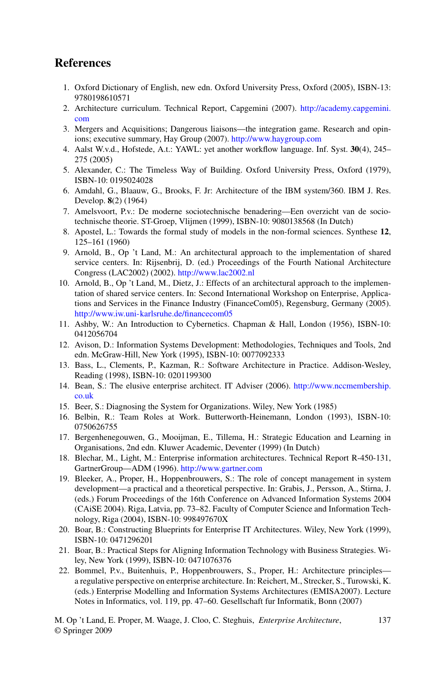## **References**

- 1. Oxford Dictionary of English, new edn. Oxford University Press, Oxford (2005), ISBN-13: 9780198610571
- 2. Architecture curriculum. Technical Report, Capgemini (2007). [http://academy.capgemini.](http://academy.capgemini.com) [com](http://academy.capgemini.com)
- 3. Mergers and Acquisitions; Dangerous liaisons—the integration game. Research and opinions; executive summary, Hay Group (2007). <http://www.haygroup.com>
- 4. Aalst W.v.d., Hofstede, A.t.: YAWL: yet another workflow language. Inf. Syst. **30**(4), 245– 275 (2005)
- 5. Alexander, C.: The Timeless Way of Building. Oxford University Press, Oxford (1979), ISBN-10: 0195024028
- 6. Amdahl, G., Blaauw, G., Brooks, F. Jr: Architecture of the IBM system/360. IBM J. Res. Develop. **8**(2) (1964)
- 7. Amelsvoort, P.v.: De moderne sociotechnische benadering—Een overzicht van de sociotechnische theorie. ST-Groep, Vlijmen (1999), ISBN-10: 9080138568 (In Dutch)
- 8. Apostel, L.: Towards the formal study of models in the non-formal sciences. Synthese **12**, 125–161 (1960)
- 9. Arnold, B., Op 't Land, M.: An architectural approach to the implementation of shared service centers. In: Rijsenbrij, D. (ed.) Proceedings of the Fourth National Architecture Congress (LAC2002) (2002). <http://www.lac2002.nl>
- 10. Arnold, B., Op 't Land, M., Dietz, J.: Effects of an architectural approach to the implementation of shared service centers. In: Second International Workshop on Enterprise, Applications and Services in the Finance Industry (FinanceCom05), Regensburg, Germany (2005). <http://www.iw.uni-karlsruhe.de/financecom05>
- 11. Ashby, W.: An Introduction to Cybernetics. Chapman & Hall, London (1956), ISBN-10: 0412056704
- 12. Avison, D.: Information Systems Development: Methodologies, Techniques and Tools, 2nd edn. McGraw-Hill, New York (1995), ISBN-10: 0077092333
- 13. Bass, L., Clements, P., Kazman, R.: Software Architecture in Practice. Addison-Wesley, Reading (1998), ISBN-10: 0201199300
- 14. Bean, S.: The elusive enterprise architect. IT Adviser (2006). [http://www.nccmembership.](http://www.nccmembership.co.uk) [co.uk](http://www.nccmembership.co.uk)
- 15. Beer, S.: Diagnosing the System for Organizations. Wiley, New York (1985)
- 16. Belbin, R.: Team Roles at Work. Butterworth-Heinemann, London (1993), ISBN-10: 0750626755
- 17. Bergenhenegouwen, G., Mooijman, E., Tillema, H.: Strategic Education and Learning in Organisations, 2nd edn. Kluwer Academic, Deventer (1999) (In Dutch)
- 18. Blechar, M., Light, M.: Enterprise information architectures. Technical Report R-450-131, GartnerGroup—ADM (1996). <http://www.gartner.com>
- 19. Bleeker, A., Proper, H., Hoppenbrouwers, S.: The role of concept management in system development—a practical and a theoretical perspective. In: Grabis, J., Persson, A., Stirna, J. (eds.) Forum Proceedings of the 16th Conference on Advanced Information Systems 2004 (CAiSE 2004). Riga, Latvia, pp. 73–82. Faculty of Computer Science and Information Technology, Riga (2004), ISBN-10: 998497670X
- 20. Boar, B.: Constructing Blueprints for Enterprise IT Architectures. Wiley, New York (1999), ISBN-10: 0471296201
- 21. Boar, B.: Practical Steps for Aligning Information Technology with Business Strategies. Wiley, New York (1999), ISBN-10: 0471076376
- 22. Bommel, P.v., Buitenhuis, P., Hoppenbrouwers, S., Proper, H.: Architecture principles a regulative perspective on enterprise architecture. In: Reichert, M., Strecker, S., Turowski, K. (eds.) Enterprise Modelling and Information Systems Architectures (EMISA2007). Lecture Notes in Informatics, vol. 119, pp. 47–60. Gesellschaft fur Informatik, Bonn (2007)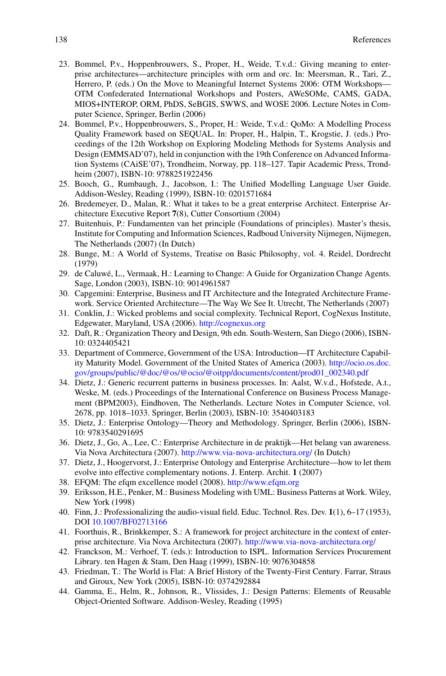- 23. Bommel, P.v., Hoppenbrouwers, S., Proper, H., Weide, T.v.d.: Giving meaning to enterprise architectures—architecture principles with orm and orc. In: Meersman, R., Tari, Z., Herrero, P. (eds.) On the Move to Meaningful Internet Systems 2006: OTM Workshops— OTM Confederated International Workshops and Posters, AWeSOMe, CAMS, GADA, MIOS+INTEROP, ORM, PhDS, SeBGIS, SWWS, and WOSE 2006. Lecture Notes in Computer Science, Springer, Berlin (2006)
- 24. Bommel, P.v., Hoppenbrouwers, S., Proper, H.: Weide, T.v.d.: QoMo: A Modelling Process Quality Framework based on SEQUAL. In: Proper, H., Halpin, T., Krogstie, J. (eds.) Proceedings of the 12th Workshop on Exploring Modeling Methods for Systems Analysis and Design (EMMSAD'07), held in conjunction with the 19th Conference on Advanced Information Systems (CAiSE'07), Trondheim, Norway, pp. 118–127. Tapir Academic Press, Trondheim (2007), ISBN-10: 9788251922456
- 25. Booch, G., Rumbaugh, J., Jacobson, I.: The Unified Modelling Language User Guide. Addison-Wesley, Reading (1999), ISBN-10: 0201571684
- 26. Bredemeyer, D., Malan, R.: What it takes to be a great enterprise Architect. Enterprise Architecture Executive Report **7**(8), Cutter Consortium (2004)
- 27. Buitenhuis, P.: Fundamenten van het principle (Foundations of principles). Master's thesis, Institute for Computing and Information Sciences, Radboud University Nijmegen, Nijmegen, The Netherlands (2007) (In Dutch)
- 28. Bunge, M.: A World of Systems, Treatise on Basic Philosophy, vol. 4. Reidel, Dordrecht (1979)
- 29. de Caluwé, L., Vermaak, H.: Learning to Change: A Guide for Organization Change Agents. Sage, London (2003), ISBN-10: 9014961587
- 30. Capgemini: Enterprise, Business and IT Architecture and the Integrated Architecture Framework. Service Oriented Architecture—The Way We See It. Utrecht, The Netherlands (2007)
- 31. Conklin, J.: Wicked problems and social complexity. Technical Report, CogNexus Institute, Edgewater, Maryland, USA (2006). <http://cognexus.org>
- 32. Daft, R.: Organization Theory and Design, 9th edn. South-Western, San Diego (2006), ISBN-10: 0324405421
- 33. Department of Commerce, Government of the USA: Introduction—IT Architecture Capability Maturity Model. Government of the United States of America (2003). [http://ocio.os.doc.](http://ocio.os.doc.gov/groups/public/@doc/@os/@ocio/@oitpp/documents/content/prod01_002340.pdf) [gov/groups/public/@doc/@os/@ocio/@oitpp/documents/content/prod01\\_002340.pdf](http://ocio.os.doc.gov/groups/public/@doc/@os/@ocio/@oitpp/documents/content/prod01_002340.pdf)
- 34. Dietz, J.: Generic recurrent patterns in business processes. In: Aalst, W.v.d., Hofstede, A.t., Weske, M. (eds.) Proceedings of the International Conference on Business Process Management (BPM2003), Eindhoven, The Netherlands. Lecture Notes in Computer Science, vol. 2678, pp. 1018–1033. Springer, Berlin (2003), ISBN-10: 3540403183
- 35. Dietz, J.: Enterprise Ontology—Theory and Methodology. Springer, Berlin (2006), ISBN-10: 9783540291695
- 36. Dietz, J., Go, A., Lee, C.: Enterprise Architecture in de praktijk—Het belang van awareness. Via Nova Architectura (2007). <http://www.via-nova-architectura.org/> (In Dutch)
- 37. Dietz, J., Hoogervorst, J.: Enterprise Ontology and Enterprise Architecture—how to let them evolve into effective complementary notions. J. Enterp. Archit. **1** (2007)
- 38. EFQM: The efqm excellence model (2008). <http://www.efqm.org>
- 39. Eriksson, H.E., Penker, M.: Business Modeling with UML: Business Patterns at Work. Wiley, New York (1998)
- 40. Finn, J.: Professionalizing the audio-visual field. Educ. Technol. Res. Dev. **1**(1), 6–17 (1953), DOI [10.1007/BF02713166](http://dx.doi.org/10.1007/BF02713166)
- 41. Foorthuis, R., Brinkkemper, S.: A framework for project architecture in the context of enterprise architecture. Via Nova Architectura (2007). <http://www.via-nova-architectura.org/>
- 42. Franckson, M.: Verhoef, T. (eds.): Introduction to ISPL. Information Services Procurement Library. ten Hagen & Stam, Den Haag (1999), ISBN-10: 9076304858
- 43. Friedman, T.: The World is Flat: A Brief History of the Twenty-First Century. Farrar, Straus and Giroux, New York (2005), ISBN-10: 0374292884
- 44. Gamma, E., Helm, R., Johnson, R., Vlissides, J.: Design Patterns: Elements of Reusable Object-Oriented Software. Addison-Wesley, Reading (1995)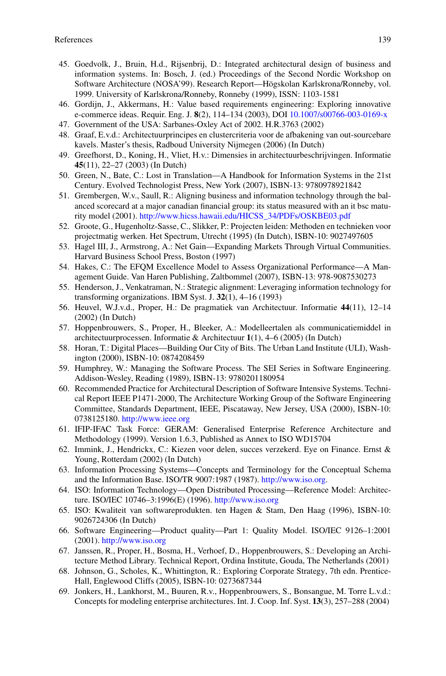- 45. Goedvolk, J., Bruin, H.d., Rijsenbrij, D.: Integrated architectural design of business and information systems. In: Bosch, J. (ed.) Proceedings of the Second Nordic Workshop on Software Architecture (NOSA'99). Research Report—Högskolan Karlskrona/Ronneby, vol. 1999. University of Karlskrona/Ronneby, Ronneby (1999), ISSN: 1103-1581
- 46. Gordijn, J., Akkermans, H.: Value based requirements engineering: Exploring innovative e-commerce ideas. Requir. Eng. J. **8**(2), 114–134 (2003), DOI [10.1007/s00766-003-0169-x](http://dx.doi.org/10.1007/s00766-003-0169-x)
- 47. Government of the USA: Sarbanes-Oxley Act of 2002. H.R.3763 (2002)
- 48. Graaf, E.v.d.: Architectuurprincipes en clustercriteria voor de afbakening van out-sourcebare kavels. Master's thesis, Radboud University Nijmegen (2006) (In Dutch)
- 49. Greefhorst, D., Koning, H., Vliet, H.v.: Dimensies in architectuurbeschrijvingen. Informatie **45**(11), 22–27 (2003) (In Dutch)
- 50. Green, N., Bate, C.: Lost in Translation—A Handbook for Information Systems in the 21st Century. Evolved Technologist Press, New York (2007), ISBN-13: 9780978921842
- 51. Grembergen, W.v., Saull, R.: Aligning business and information technology through the balanced scorecard at a major canadian financial group: its status measured with an it bsc maturity model (2001). [http://www.hicss.hawaii.edu/HICSS\\_34/PDFs/OSKBE03.pdf](http://www.hicss.hawaii.edu/HICSS_34/PDFs/OSKBE03.pdf)
- 52. Groote, G., Hugenholtz-Sasse, C., Slikker, P.: Projecten leiden: Methoden en technieken voor projectmatig werken. Het Spectrum, Utrecht (1995) (In Dutch), ISBN-10: 9027497605
- 53. Hagel III, J., Armstrong, A.: Net Gain—Expanding Markets Through Virtual Communities. Harvard Business School Press, Boston (1997)
- 54. Hakes, C.: The EFQM Excellence Model to Assess Organizational Performance—A Management Guide. Van Haren Publishing, Zaltbommel (2007), ISBN-13: 978-9087530273
- 55. Henderson, J., Venkatraman, N.: Strategic alignment: Leveraging information technology for transforming organizations. IBM Syst. J. **32**(1), 4–16 (1993)
- 56. Heuvel, W.J.v.d., Proper, H.: De pragmatiek van Architectuur. Informatie **44**(11), 12–14 (2002) (In Dutch)
- 57. Hoppenbrouwers, S., Proper, H., Bleeker, A.: Modelleertalen als communicatiemiddel in architectuurprocessen. Informatie & Architectuur **1**(1), 4–6 (2005) (In Dutch)
- 58. Horan, T.: Digital Places—Building Our City of Bits. The Urban Land Institute (ULI), Washington (2000), ISBN-10: 0874208459
- 59. Humphrey, W.: Managing the Software Process. The SEI Series in Software Engineering. Addison-Wesley, Reading (1989), ISBN-13: 9780201180954
- 60. Recommended Practice for Architectural Description of Software Intensive Systems. Technical Report IEEE P1471-2000, The Architecture Working Group of the Software Engineering Committee, Standards Department, IEEE, Piscataway, New Jersey, USA (2000), ISBN-10: 0738125180. <http://www.ieee.org>
- 61. IFIP-IFAC Task Force: GERAM: Generalised Enterprise Reference Architecture and Methodology (1999). Version 1.6.3, Published as Annex to ISO WD15704
- 62. Immink, J., Hendrickx, C.: Kiezen voor delen, succes verzekerd. Eye on Finance. Ernst & Young, Rotterdam (2002) (In Dutch)
- 63. Information Processing Systems—Concepts and Terminology for the Conceptual Schema and the Information Base. ISO/TR 9007:1987 (1987). <http://www.iso.org>.
- 64. ISO: Information Technology—Open Distributed Processing—Reference Model: Architecture. ISO/IEC 10746–3:1996(E) (1996). <http://www.iso.org>
- 65. ISO: Kwaliteit van softwareprodukten. ten Hagen & Stam, Den Haag (1996), ISBN-10: 9026724306 (In Dutch)
- 66. Software Engineering—Product quality—Part 1: Quality Model. ISO/IEC 9126–1:2001 (2001). <http://www.iso.org>
- 67. Janssen, R., Proper, H., Bosma, H., Verhoef, D., Hoppenbrouwers, S.: Developing an Architecture Method Library. Technical Report, Ordina Institute, Gouda, The Netherlands (2001)
- 68. Johnson, G., Scholes, K., Whittington, R.: Exploring Corporate Strategy, 7th edn. Prentice-Hall, Englewood Cliffs (2005), ISBN-10: 0273687344
- 69. Jonkers, H., Lankhorst, M., Buuren, R.v., Hoppenbrouwers, S., Bonsangue, M. Torre L.v.d.: Concepts for modeling enterprise architectures. Int. J. Coop. Inf. Syst. **13**(3), 257–288 (2004)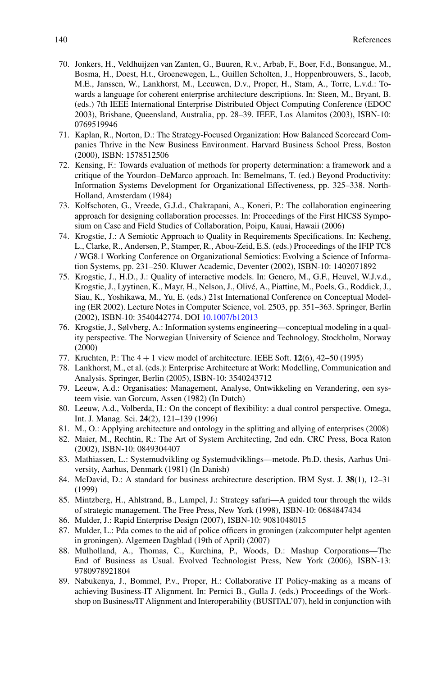- 70. Jonkers, H., Veldhuijzen van Zanten, G., Buuren, R.v., Arbab, F., Boer, F.d., Bonsangue, M., Bosma, H., Doest, H.t., Groenewegen, L., Guillen Scholten, J., Hoppenbrouwers, S., Iacob, M.E., Janssen, W., Lankhorst, M., Leeuwen, D.v., Proper, H., Stam, A., Torre, L.v.d.: Towards a language for coherent enterprise architecture descriptions. In: Steen, M., Bryant, B. (eds.) 7th IEEE International Enterprise Distributed Object Computing Conference (EDOC 2003), Brisbane, Queensland, Australia, pp. 28–39. IEEE, Los Alamitos (2003), ISBN-10: 0769519946
- 71. Kaplan, R., Norton, D.: The Strategy-Focused Organization: How Balanced Scorecard Companies Thrive in the New Business Environment. Harvard Business School Press, Boston (2000), ISBN: 1578512506
- 72. Kensing, F.: Towards evaluation of methods for property determination: a framework and a critique of the Yourdon–DeMarco approach. In: Bemelmans, T. (ed.) Beyond Productivity: Information Systems Development for Organizational Effectiveness, pp. 325–338. North-Holland, Amsterdam (1984)
- 73. Kolfschoten, G., Vreede, G.J.d., Chakrapani, A., Koneri, P.: The collaboration engineering approach for designing collaboration processes. In: Proceedings of the First HICSS Symposium on Case and Field Studies of Collaboration, Poipu, Kauai, Hawaii (2006)
- 74. Krogstie, J.: A Semiotic Approach to Quality in Requirements Specifications. In: Kecheng, L., Clarke, R., Andersen, P., Stamper, R., Abou-Zeid, E.S. (eds.) Proceedings of the IFIP TC8 / WG8.1 Working Conference on Organizational Semiotics: Evolving a Science of Information Systems, pp. 231–250. Kluwer Academic, Deventer (2002), ISBN-10: 1402071892
- 75. Krogstie, J., H.D., J.: Quality of interactive models. In: Genero, M., G.F., Heuvel, W.J.v.d., Krogstie, J., Lyytinen, K., Mayr, H., Nelson, J., Olivé, A., Piattine, M., Poels, G., Roddick, J., Siau, K., Yoshikawa, M., Yu, E. (eds.) 21st International Conference on Conceptual Modeling (ER 2002). Lecture Notes in Computer Science, vol. 2503, pp. 351–363. Springer, Berlin (2002), ISBN-10: 3540442774. DOI [10.1007/b12013](http://dx.doi.org/10.1007/b12013)
- 76. Krogstie, J., Sølvberg, A.: Information systems engineering—conceptual modeling in a quality perspective. The Norwegian University of Science and Technology, Stockholm, Norway (2000)
- 77. Kruchten, P.: The 4 + 1 view model of architecture. IEEE Soft. **12**(6), 42–50 (1995)
- 78. Lankhorst, M., et al. (eds.): Enterprise Architecture at Work: Modelling, Communication and Analysis. Springer, Berlin (2005), ISBN-10: 3540243712
- 79. Leeuw, A.d.: Organisaties: Management, Analyse, Ontwikkeling en Verandering, een systeem visie. van Gorcum, Assen (1982) (In Dutch)
- 80. Leeuw, A.d., Volberda, H.: On the concept of flexibility: a dual control perspective. Omega, Int. J. Manag. Sci. **24**(2), 121–139 (1996)
- 81. M., O.: Applying architecture and ontology in the splitting and allying of enterprises (2008)
- 82. Maier, M., Rechtin, R.: The Art of System Architecting, 2nd edn. CRC Press, Boca Raton (2002), ISBN-10: 0849304407
- 83. Mathiassen, L.: Systemudvikling og Systemudviklings—metode. Ph.D. thesis, Aarhus University, Aarhus, Denmark (1981) (In Danish)
- 84. McDavid, D.: A standard for business architecture description. IBM Syst. J. **38**(1), 12–31 (1999)
- 85. Mintzberg, H., Ahlstrand, B., Lampel, J.: Strategy safari—A guided tour through the wilds of strategic management. The Free Press, New York (1998), ISBN-10: 0684847434
- 86. Mulder, J.: Rapid Enterprise Design (2007), ISBN-10: 9081048015
- 87. Mulder, L.: Pda comes to the aid of police officers in groningen (zakcomputer helpt agenten in groningen). Algemeen Dagblad (19th of April) (2007)
- 88. Mulholland, A., Thomas, C., Kurchina, P., Woods, D.: Mashup Corporations—The End of Business as Usual. Evolved Technologist Press, New York (2006), ISBN-13: 9780978921804
- 89. Nabukenya, J., Bommel, P.v., Proper, H.: Collaborative IT Policy-making as a means of achieving Business-IT Alignment. In: Pernici B., Gulla J. (eds.) Proceedings of the Workshop on Business/IT Alignment and Interoperability (BUSITAL'07), held in conjunction with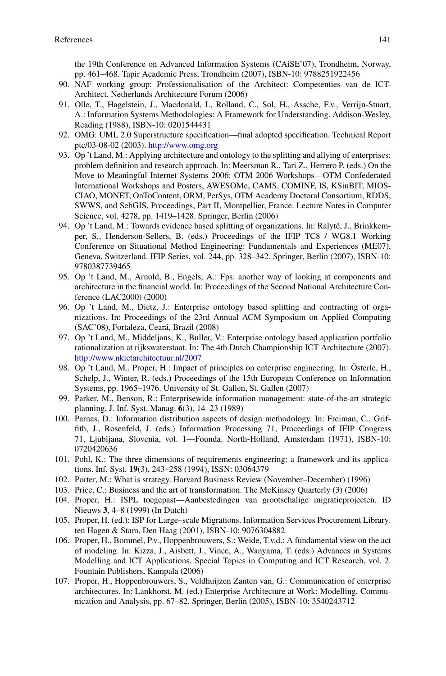the 19th Conference on Advanced Information Systems (CAiSE'07), Trondheim, Norway, pp. 461–468. Tapir Academic Press, Trondheim (2007), ISBN-10: 9788251922456

- 90. NAF working group: Professionalisation of the Architect: Competenties van de ICT-Architect. Netherlands Architecture Forum (2006)
- 91. Olle, T., Hagelstein, J., Macdonald, I., Rolland, C., Sol, H., Assche, F.v., Verrijn-Stuart, A.: Information Systems Methodologies: A Framework for Understanding. Addison-Wesley, Reading (1988), ISBN-10: 0201544431
- 92. OMG: UML 2.0 Superstructure specification—final adopted specification. Technical Report ptc/03-08-02 (2003). <http://www.omg.org>
- 93. Op 't Land, M.: Applying architecture and ontology to the splitting and allying of enterprises: problem definition and research approach. In: Meersman R., Tari Z., Herrero P. (eds.) On the Move to Meaningful Internet Systems 2006: OTM 2006 Workshops—OTM Confederated International Workshops and Posters, AWESOMe, CAMS, COMINF, IS, KSinBIT, MIOS-CIAO, MONET, OnToContent, ORM, PerSys, OTM Academy Doctoral Consortium, RDDS, SWWS, and SebGIS, Proceedings, Part II, Montpellier, France. Lecture Notes in Computer Science, vol. 4278, pp. 1419–1428. Springer, Berlin (2006)
- 94. Op 't Land, M.: Towards evidence based splitting of organizations. In: Ralyté, J., Brinkkemper, S., Henderson-Sellers, B. (eds.) Proceedings of the IFIP TC8 / WG8.1 Working Conference on Situational Method Engineering: Fundamentals and Experiences (ME07), Geneva, Switzerland. IFIP Series, vol. 244, pp. 328–342. Springer, Berlin (2007), ISBN-10: 9780387739465
- 95. Op 't Land, M., Arnold, B., Engels, A.: Fps: another way of looking at components and architecture in the financial world. In: Proceedings of the Second National Architecture Conference (LAC2000) (2000)
- 96. Op 't Land, M., Dietz, J.: Enterprise ontology based splitting and contracting of organizations. In: Proceedings of the 23rd Annual ACM Symposium on Applied Computing (SAC'08), Fortaleza, Ceará, Brazil (2008)
- 97. Op 't Land, M., Middeljans, K., Buller, V.: Enterprise ontology based application portfolio rationalization at rijkswaterstaat. In: The 4th Dutch Championship ICT Architecture (2007). <http://www.nkictarchitectuur.nl/2007>
- 98. Op 't Land, M., Proper, H.: Impact of principles on enterprise engineering. In: Österle, H., Schelp, J., Winter, R. (eds.) Proceedings of the 15th European Conference on Information Systems, pp. 1965–1976. University of St. Gallen, St. Gallen (2007)
- 99. Parker, M., Benson, R.: Enterprisewide information management: state-of-the-art strategic planning. J. Inf. Syst. Manag. **6**(3), 14–23 (1989)
- 100. Parnas, D.: Information distribution aspects of design methodology. In: Freiman, C., Griffith, J., Rosenfeld, J. (eds.) Information Processing 71, Proceedings of IFIP Congress 71, Ljubljana, Slovenia, vol. 1—Founda. North-Holland, Amsterdam (1971), ISBN-10: 0720420636
- 101. Pohl, K.: The three dimensions of requirements engineering: a framework and its applications. Inf. Syst. **19**(3), 243–258 (1994), ISSN: 03064379
- 102. Porter, M.: What is strategy. Harvard Business Review (November–December) (1996)
- 103. Price, C.: Business and the art of transformation. The McKinsey Quarterly (3) (2006)
- 104. Proper, H.: ISPL toegepast—Aanbestedingen van grootschalige migratieprojecten. ID Nieuws **3**, 4–8 (1999) (In Dutch)
- 105. Proper, H. (ed.): ISP for Large–scale Migrations. Information Services Procurement Library. ten Hagen & Stam, Den Haag (2001), ISBN-10: 9076304882
- 106. Proper, H., Bommel, P.v., Hoppenbrouwers, S.: Weide, T.v.d.: A fundamental view on the act of modeling. In: Kizza, J., Aisbett, J., Vince, A., Wanyama, T. (eds.) Advances in Systems Modelling and ICT Applications. Special Topics in Computing and ICT Research, vol. 2. Fountain Publishers, Kampala (2006)
- 107. Proper, H., Hoppenbrouwers, S., Veldhuijzen Zanten van, G.: Communication of enterprise architectures. In: Lankhorst, M. (ed.) Enterprise Architecture at Work: Modelling, Communication and Analysis, pp. 67–82. Springer, Berlin (2005), ISBN-10: 3540243712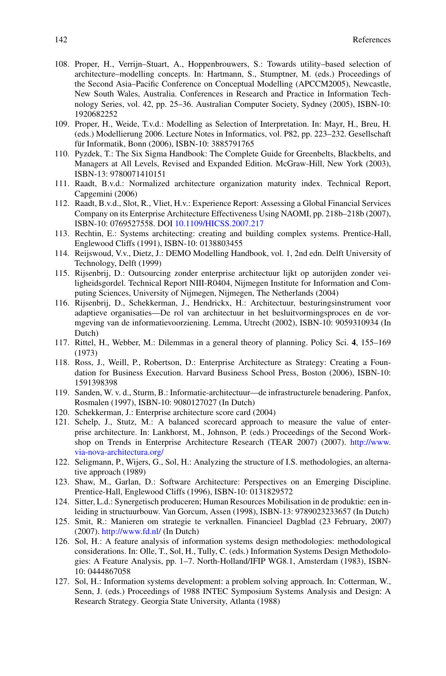- 108. Proper, H., Verrijn–Stuart, A., Hoppenbrouwers, S.: Towards utility–based selection of architecture–modelling concepts. In: Hartmann, S., Stumptner, M. (eds.) Proceedings of the Second Asia–Pacific Conference on Conceptual Modelling (APCCM2005), Newcastle, New South Wales, Australia. Conferences in Research and Practice in Information Technology Series, vol. 42, pp. 25–36. Australian Computer Society, Sydney (2005), ISBN-10: 1920682252
- 109. Proper, H., Weide, T.v.d.: Modelling as Selection of Interpretation. In: Mayr, H., Breu, H. (eds.) Modellierung 2006. Lecture Notes in Informatics, vol. P82, pp. 223–232. Gesellschaft für Informatik, Bonn (2006), ISBN-10: 3885791765
- 110. Pyzdek, T.: The Six Sigma Handbook: The Complete Guide for Greenbelts, Blackbelts, and Managers at All Levels, Revised and Expanded Edition. McGraw-Hill, New York (2003), ISBN-13: 9780071410151
- 111. Raadt, B.v.d.: Normalized architecture organization maturity index. Technical Report, Capgemini (2006)
- 112. Raadt, B.v.d., Slot, R., Vliet, H.v.: Experience Report: Assessing a Global Financial Services Company on its Enterprise Architecture Effectiveness Using NAOMI, pp. 218b–218b (2007), ISBN-10: 0769527558. DOI [10.1109/HICSS.2007.217](http://dx.doi.org/10.1109/HICSS.2007.217)
- 113. Rechtin, E.: Systems architecting: creating and building complex systems. Prentice-Hall, Englewood Cliffs (1991), ISBN-10: 0138803455
- 114. Reijswoud, V.v., Dietz, J.: DEMO Modelling Handbook, vol. 1, 2nd edn. Delft University of Technology, Delft (1999)
- 115. Rijsenbrij, D.: Outsourcing zonder enterprise architectuur lijkt op autorijden zonder veiligheidsgordel. Technical Report NIII-R0404, Nijmegen Institute for Information and Computing Sciences, University of Nijmegen, Nijmegen, The Netherlands (2004)
- 116. Rijsenbrij, D., Schekkerman, J., Hendrickx, H.: Architectuur, besturingsinstrument voor adaptieve organisaties—De rol van architectuur in het besluitvormingsproces en de vormgeving van de informatievoorziening. Lemma, Utrecht (2002), ISBN-10: 9059310934 (In Dutch)
- 117. Rittel, H., Webber, M.: Dilemmas in a general theory of planning. Policy Sci. **4**, 155–169 (1973)
- 118. Ross, J., Weill, P., Robertson, D.: Enterprise Architecture as Strategy: Creating a Foundation for Business Execution. Harvard Business School Press, Boston (2006), ISBN-10: 1591398398
- 119. Sanden, W. v. d., Sturm, B.: Informatie-architectuur—de infrastructurele benadering. Panfox, Rosmalen (1997), ISBN-10: 9080127027 (In Dutch)
- 120. Schekkerman, J.: Enterprise architecture score card (2004)
- 121. Schelp, J., Stutz, M.: A balanced scorecard approach to measure the value of enterprise architecture. In: Lankhorst, M., Johnson, P. (eds.) Proceedings of the Second Workshop on Trends in Enterprise Architecture Research (TEAR 2007) (2007). [http://www.](http://www.via-nova-architectura.org/) [via-nova-architectura.org/](http://www.via-nova-architectura.org/)
- 122. Seligmann, P., Wijers, G., Sol, H.: Analyzing the structure of I.S. methodologies, an alternative approach (1989)
- 123. Shaw, M., Garlan, D.: Software Architecture: Perspectives on an Emerging Discipline. Prentice-Hall, Englewood Cliffs (1996), ISBN-10: 0131829572
- 124. Sitter, L.d.: Synergetisch produceren; Human Resources Mobilisation in de produktie: een inleiding in structuurbouw. Van Gorcum, Assen (1998), ISBN-13: 9789023233657 (In Dutch)
- 125. Smit, R.: Manieren om strategie te verknallen. Financieel Dagblad (23 February, 2007) (2007). <http://www.fd.nl/> (In Dutch)
- 126. Sol, H.: A feature analysis of information systems design methodologies: methodological considerations. In: Olle, T., Sol, H., Tully, C. (eds.) Information Systems Design Methodologies: A Feature Analysis, pp. 1–7. North-Holland/IFIP WG8.1, Amsterdam (1983), ISBN-10: 0444867058
- 127. Sol, H.: Information systems development: a problem solving approach. In: Cotterman, W., Senn, J. (eds.) Proceedings of 1988 INTEC Symposium Systems Analysis and Design: A Research Strategy. Georgia State University, Atlanta (1988)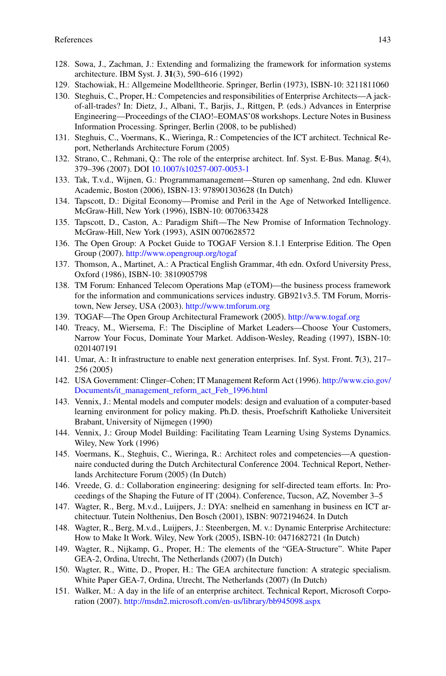- 128. Sowa, J., Zachman, J.: Extending and formalizing the framework for information systems architecture. IBM Syst. J. **31**(3), 590–616 (1992)
- 129. Stachowiak, H.: Allgemeine Modelltheorie. Springer, Berlin (1973), ISBN-10: 3211811060
- 130. Steghuis, C., Proper, H.: Competencies and responsibilities of Enterprise Architects—A jackof-all-trades? In: Dietz, J., Albani, T., Barjis, J., Rittgen, P. (eds.) Advances in Enterprise Engineering—Proceedings of the CIAO!–EOMAS'08 workshops. Lecture Notes in Business Information Processing. Springer, Berlin (2008, to be published)
- 131. Steghuis, C., Voermans, K., Wieringa, R.: Competencies of the ICT architect. Technical Report, Netherlands Architecture Forum (2005)
- 132. Strano, C., Rehmani, Q.: The role of the enterprise architect. Inf. Syst. E-Bus. Manag. **5**(4), 379–396 (2007). DOI [10.1007/s10257-007-0053-1](http://dx.doi.org/10.1007/s10257-007-0053-1)
- 133. Tak, T.v.d., Wijnen, G.: Programmamanagement—Sturen op samenhang, 2nd edn. Kluwer Academic, Boston (2006), ISBN-13: 978901303628 (In Dutch)
- 134. Tapscott, D.: Digital Economy—Promise and Peril in the Age of Networked Intelligence. McGraw-Hill, New York (1996), ISBN-10: 0070633428
- 135. Tapscott, D., Caston, A.: Paradigm Shift—The New Promise of Information Technology. McGraw-Hill, New York (1993), ASIN 0070628572
- 136. The Open Group: A Pocket Guide to TOGAF Version 8.1.1 Enterprise Edition. The Open Group (2007). <http://www.opengroup.org/togaf>
- 137. Thomson, A., Martinet, A.: A Practical English Grammar, 4th edn. Oxford University Press, Oxford (1986), ISBN-10: 3810905798
- 138. TM Forum: Enhanced Telecom Operations Map (eTOM)—the business process framework for the information and communications services industry. GB921v3.5. TM Forum, Morristown, New Jersey, USA (2003). <http://www.tmforum.org>
- 139. TOGAF—The Open Group Architectural Framework (2005). <http://www.togaf.org>
- 140. Treacy, M., Wiersema, F.: The Discipline of Market Leaders—Choose Your Customers, Narrow Your Focus, Dominate Your Market. Addison-Wesley, Reading (1997), ISBN-10: 0201407191
- 141. Umar, A.: It infrastructure to enable next generation enterprises. Inf. Syst. Front. **7**(3), 217– 256 (2005)
- 142. USA Government: Clinger–Cohen; IT Management Reform Act (1996). [http://www.cio.gov/](http://www.cio.gov/Documents/it_management_reform_act_Feb_1996.html) [Documents/it\\_management\\_reform\\_act\\_Feb\\_1996.html](http://www.cio.gov/Documents/it_management_reform_act_Feb_1996.html)
- 143. Vennix, J.: Mental models and computer models: design and evaluation of a computer-based learning environment for policy making. Ph.D. thesis, Proefschrift Katholieke Universiteit Brabant, University of Nijmegen (1990)
- 144. Vennix, J.: Group Model Building: Facilitating Team Learning Using Systems Dynamics. Wiley, New York (1996)
- 145. Voermans, K., Steghuis, C., Wieringa, R.: Architect roles and competencies—A questionnaire conducted during the Dutch Architectural Conference 2004. Technical Report, Netherlands Architecture Forum (2005) (In Dutch)
- 146. Vreede, G. d.: Collaboration engineering: designing for self-directed team efforts. In: Proceedings of the Shaping the Future of IT (2004). Conference, Tucson, AZ, November 3–5
- 147. Wagter, R., Berg, M.v.d., Luijpers, J.: DYA: snelheid en samenhang in business en ICT architectuur. Tutein Nolthenius, Den Bosch (2001), ISBN: 9072194624. In Dutch
- 148. Wagter, R., Berg, M.v.d., Luijpers, J.: Steenbergen, M. v.: Dynamic Enterprise Architecture: How to Make It Work. Wiley, New York (2005), ISBN-10: 0471682721 (In Dutch)
- 149. Wagter, R., Nijkamp, G., Proper, H.: The elements of the "GEA-Structure". White Paper GEA-2, Ordina, Utrecht, The Netherlands (2007) (In Dutch)
- 150. Wagter, R., Witte, D., Proper, H.: The GEA architecture function: A strategic specialism. White Paper GEA-7, Ordina, Utrecht, The Netherlands (2007) (In Dutch)
- 151. Walker, M.: A day in the life of an enterprise architect. Technical Report, Microsoft Corporation (2007). <http://msdn2.microsoft.com/en-us/library/bb945098.aspx>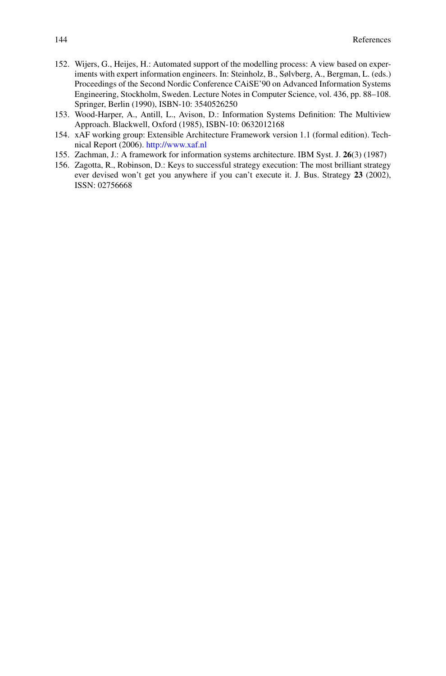- 152. Wijers, G., Heijes, H.: Automated support of the modelling process: A view based on experiments with expert information engineers. In: Steinholz, B., Sølvberg, A., Bergman, L. (eds.) Proceedings of the Second Nordic Conference CAiSE'90 on Advanced Information Systems Engineering, Stockholm, Sweden. Lecture Notes in Computer Science, vol. 436, pp. 88–108. Springer, Berlin (1990), ISBN-10: 3540526250
- 153. Wood-Harper, A., Antill, L., Avison, D.: Information Systems Definition: The Multiview Approach. Blackwell, Oxford (1985), ISBN-10: 0632012168
- 154. xAF working group: Extensible Architecture Framework version 1.1 (formal edition). Technical Report (2006). <http://www.xaf.nl>
- 155. Zachman, J.: A framework for information systems architecture. IBM Syst. J. **26**(3) (1987)
- 156. Zagotta, R., Robinson, D.: Keys to successful strategy execution: The most brilliant strategy ever devised won't get you anywhere if you can't execute it. J. Bus. Strategy **23** (2002), ISSN: 02756668